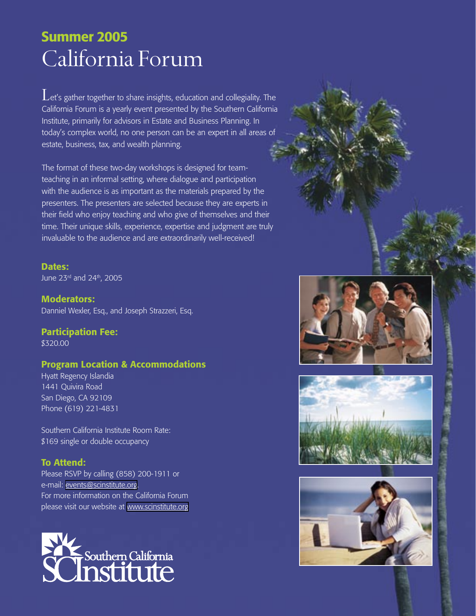# California Forum Summer 2005

 $\mathbf L$ et's gather together to share insights, education and collegiality. The California Forum is a yearly event presented by the Southern California Institute, primarily for advisors in Estate and Business Planning. In today's complex world, no one person can be an expert in all areas of estate, business, tax, and wealth planning.

The format of these two-day workshops is designed for teamteaching in an informal setting, where dialogue and participation with the audience is as important as the materials prepared by the presenters. The presenters are selected because they are experts in their field who enjoy teaching and who give of themselves and their time. Their unique skills, experience, expertise and judgment are truly invaluable to the audience and are extraordinarily well-received!

Dates: June 23<sup>rd</sup> and 24<sup>th</sup>, 2005

Moderators: Danniel Wexler, Esq., and Joseph Strazzeri, Esq.

Participation Fee: \$320.00

## Program Location & Accommodations

Hyatt Regency Islandia 1441 Quivira Road San Diego, CA 92109 Phone (619) 221-4831

Southern California Institute Room Rate: \$169 single or double occupancy

## To Attend:

Please RSVP by calling (858) 200-1911 or e-mail: [events@scinstitute.org.](mailto:events@scinstitute.org?subject=CA%20Forum%20RSVP) For more information on the California Forum please visit our website at [www.scinstitute.org](http://www.scinstitute.org)